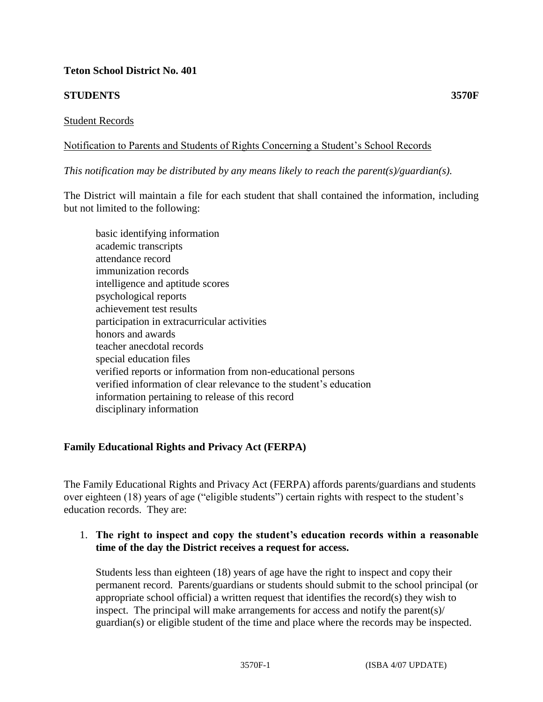## **Teton School District No. 401**

# **STUDENTS 3570F**

### Student Records

## Notification to Parents and Students of Rights Concerning a Student's School Records

*This notification may be distributed by any means likely to reach the parent(s)/guardian(s).*

The District will maintain a file for each student that shall contained the information, including but not limited to the following:

 basic identifying information academic transcripts attendance record immunization records intelligence and aptitude scores psychological reports achievement test results participation in extracurricular activities honors and awards teacher anecdotal records special education files verified reports or information from non-educational persons verified information of clear relevance to the student's education information pertaining to release of this record disciplinary information

## **Family Educational Rights and Privacy Act (FERPA)**

The Family Educational Rights and Privacy Act (FERPA) affords parents/guardians and students over eighteen (18) years of age ("eligible students") certain rights with respect to the student's education records. They are:

## 1. **The right to inspect and copy the student's education records within a reasonable time of the day the District receives a request for access.**

Students less than eighteen (18) years of age have the right to inspect and copy their permanent record. Parents/guardians or students should submit to the school principal (or appropriate school official) a written request that identifies the record(s) they wish to inspect. The principal will make arrangements for access and notify the parent(s)/ guardian(s) or eligible student of the time and place where the records may be inspected.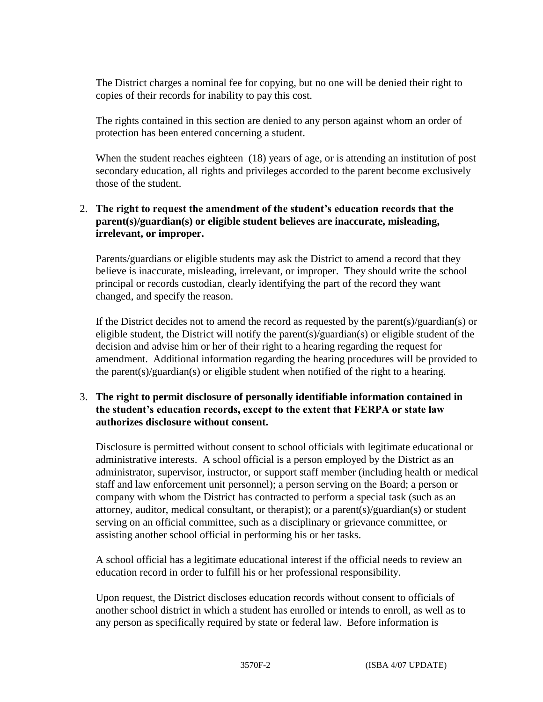The District charges a nominal fee for copying, but no one will be denied their right to copies of their records for inability to pay this cost.

The rights contained in this section are denied to any person against whom an order of protection has been entered concerning a student.

When the student reaches eighteen (18) years of age, or is attending an institution of post secondary education, all rights and privileges accorded to the parent become exclusively those of the student.

# 2. **The right to request the amendment of the student's education records that the parent(s)/guardian(s) or eligible student believes are inaccurate, misleading, irrelevant, or improper.**

Parents/guardians or eligible students may ask the District to amend a record that they believe is inaccurate, misleading, irrelevant, or improper. They should write the school principal or records custodian, clearly identifying the part of the record they want changed, and specify the reason.

If the District decides not to amend the record as requested by the parent(s)/guardian(s) or eligible student, the District will notify the parent(s)/guardian(s) or eligible student of the decision and advise him or her of their right to a hearing regarding the request for amendment. Additional information regarding the hearing procedures will be provided to the parent(s)/guardian(s) or eligible student when notified of the right to a hearing.

## 3. **The right to permit disclosure of personally identifiable information contained in the student's education records, except to the extent that FERPA or state law authorizes disclosure without consent.**

Disclosure is permitted without consent to school officials with legitimate educational or administrative interests. A school official is a person employed by the District as an administrator, supervisor, instructor, or support staff member (including health or medical staff and law enforcement unit personnel); a person serving on the Board; a person or company with whom the District has contracted to perform a special task (such as an attorney, auditor, medical consultant, or therapist); or a parent(s)/guardian(s) or student serving on an official committee, such as a disciplinary or grievance committee, or assisting another school official in performing his or her tasks.

A school official has a legitimate educational interest if the official needs to review an education record in order to fulfill his or her professional responsibility.

Upon request, the District discloses education records without consent to officials of another school district in which a student has enrolled or intends to enroll, as well as to any person as specifically required by state or federal law. Before information is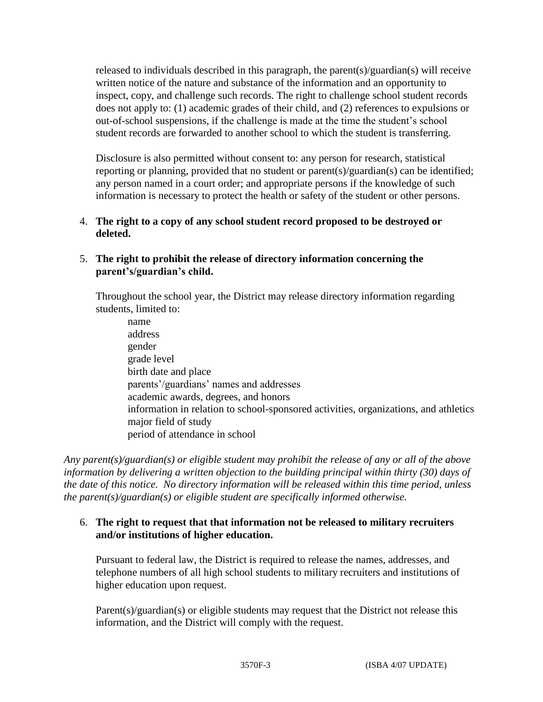released to individuals described in this paragraph, the parent(s)/guardian(s) will receive written notice of the nature and substance of the information and an opportunity to inspect, copy, and challenge such records. The right to challenge school student records does not apply to: (1) academic grades of their child, and (2) references to expulsions or out-of-school suspensions, if the challenge is made at the time the student's school student records are forwarded to another school to which the student is transferring.

Disclosure is also permitted without consent to: any person for research, statistical reporting or planning, provided that no student or parent(s)/guardian(s) can be identified; any person named in a court order; and appropriate persons if the knowledge of such information is necessary to protect the health or safety of the student or other persons.

4. **The right to a copy of any school student record proposed to be destroyed or deleted.**

# 5. **The right to prohibit the release of directory information concerning the parent's/guardian's child.**

Throughout the school year, the District may release directory information regarding students, limited to:

 name address gender grade level birth date and place parents'/guardians' names and addresses academic awards, degrees, and honors information in relation to school-sponsored activities, organizations, and athletics major field of study period of attendance in school

*Any parent(s)/guardian(s) or eligible student may prohibit the release of any or all of the above information by delivering a written objection to the building principal within thirty (30) days of the date of this notice. No directory information will be released within this time period, unless the parent(s)/guardian(s) or eligible student are specifically informed otherwise.* 

## 6. **The right to request that that information not be released to military recruiters and/or institutions of higher education.**

Pursuant to federal law, the District is required to release the names, addresses, and telephone numbers of all high school students to military recruiters and institutions of higher education upon request.

Parent(s)/guardian(s) or eligible students may request that the District not release this information, and the District will comply with the request.